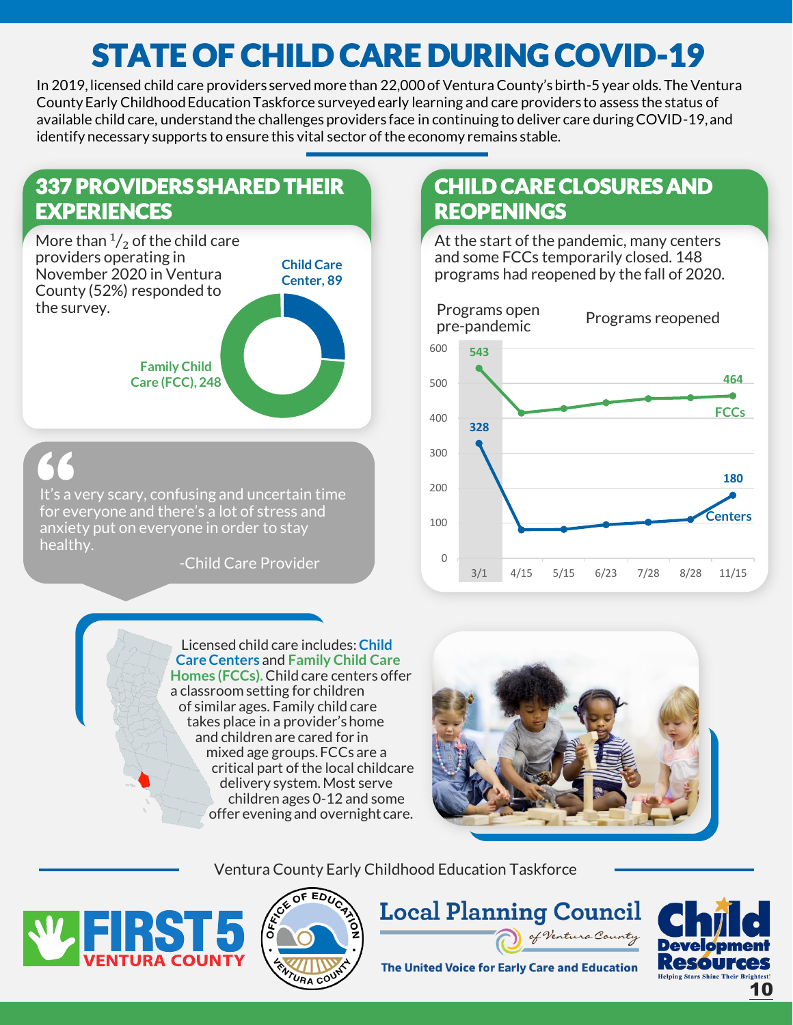# STATE OF CHILD CARE DURING COVID-19

In 2019, licensed child care providers served more than 22,000 of Ventura County's birth-5 year olds. The Ventura County Early Childhood Education Taskforce surveyed early learning and care providers to assess the status of available child care, understand the challenges providers face in continuing to deliver care during COVID-19, and identify necessary supports to ensure this vital sector of the economy remains stable.





It's a very scary, confusing and uncertain time for everyone and there's a lot of stress and anxiety put on everyone in order to stay healthy. **66**<br>
It's a v<br>
for ev<br>
anxiet

-Child Care Provider

Licensed child care includes: **Child Care Centers** and **Family Child Care Homes (FCCs).** Child care centers offer a classroom setting for children of similar ages. Family child care takes place in a provider's home and children are cared for in mixed age groups. FCCs are a critical part of the local childcare delivery system. Most serve children ages 0-12 and some offer evening and overnight care.

## CHILD CARE CLOSURES AND **REOPENINGS**

At the start of the pandemic, many centers and some FCCs temporarily closed. 148 programs had reopened by the fall of 2020.





Ventura County Early Childhood Education Taskforce





**Local Planning Council** of Ventura County



The United Voice for Early Care and Education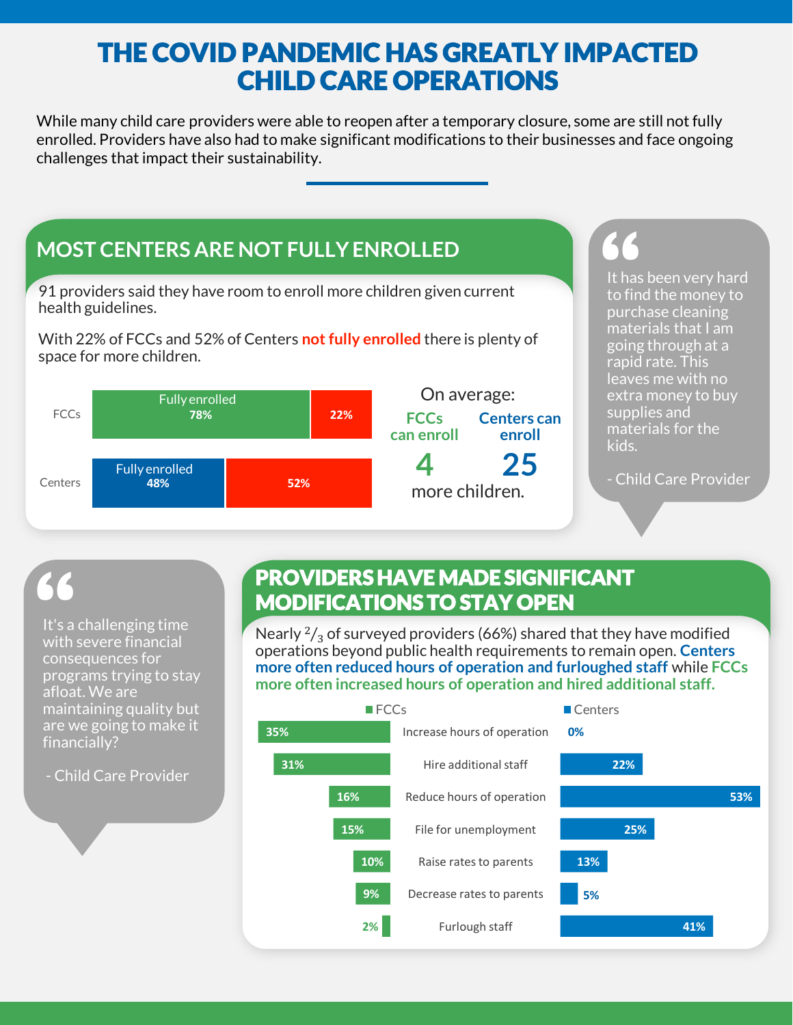# THE COVID PANDEMIC HAS GREATLY IMPACTED CHILD CARE OPERATIONS

While many child care providers were able to reopen after a temporary closure, some are still not fully enrolled. Providers have also had to make significant modifications to their businesses and face ongoing challenges that impact their sustainability.



# **66**<br>It's a<br>with

It's a challenging time with severe financial consequences for programs trying to stay afloat. We are maintaining quality but are we going to make it financially?

- Child Care Provider

## PROVIDERS HAVE MADE SIGNIFICANT MODIFICATIONS TO STAY OPEN

Nearly  $\frac{2}{3}$  of surveyed providers (66%) shared that they have modified operations beyond public health requirements to remain open. **Centers more often reduced hours of operation and furloughed staff** while **FCCs more often increased hours of operation and hired additional staff.** 

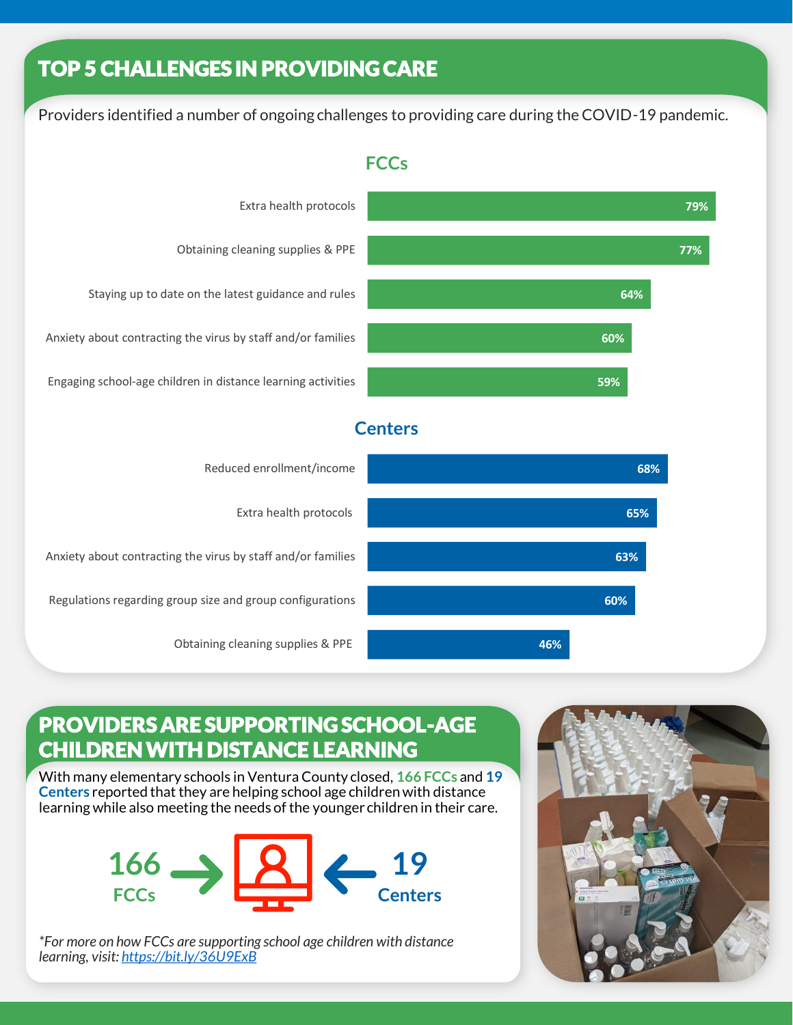# TOP 5 CHALLENGES IN PROVIDING CARE

Providers identified a number of ongoing challenges to providing care during the COVID-19 pandemic.



#### **FCCs**

#### **Centers**



### PROVIDERS ARE SUPPORTING SCHOOL-AGE CHILDREN WITH DISTANCE LEARNING

With many elementary schools in Ventura County closed, **166 FCCs** and **19 Centers** reported that they are helping school age children with distance learning while also meeting the needs of the younger children in their care.



*\*For more on how FCCs are supporting school age children with distance learning, visit:<https://bit.ly/36U9ExB>*



**79%**